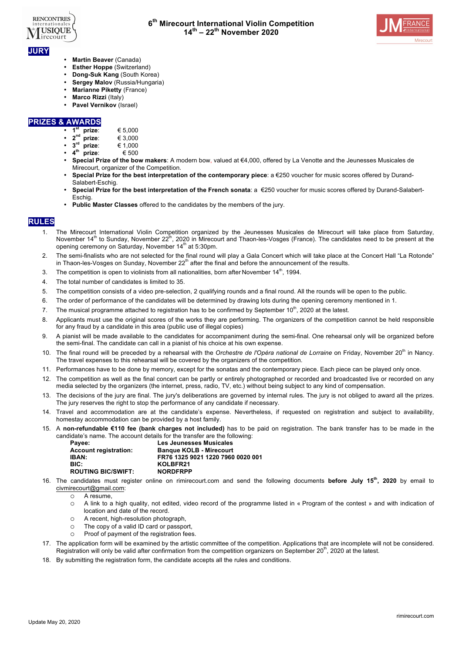



- **JURY**
	- **Martin Beaver** (Canada)
	- **Esther Hoppe** (Switzerland)
	- **Dong-Suk Kang** (South Korea)
	- **Sergey Maloy (Russia/Hungaria)**
	- **Marianne Piketty** (France)
	- **Marco Rizzi** (Italy)
	- **Pavel Vernikov** (Israel)

### **PRIZES & AWARDS**

- $1^{\text{st}}$  **prize:** € 5,000<br> $2^{\text{nd}}$  **prize:** € 3,000
- **2nd prize**: € 3,000
- $\overline{3}^{\text{rd}}$  **prize**:  $\in 1,000$ <br>  $\overline{4}^{\text{th}}$  **prize**  $\in 500$
- $4<sup>th</sup>$  prize:
- **Special Prize of the bow makers**: A modern bow, valued at €4,000, offered by La Venotte and the Jeunesses Musicales de Mirecourt, organizer of the Competition.
- **Special Prize for the best interpretation of the contemporary piece**: a €250 voucher for music scores offered by Durand-Salabert-Eschig.
- **Special Prize for the best interpretation of the French sonata**: a €250 voucher for music scores offered by Durand-Salabert-Eschig.
- **Public Master Classes** offered to the candidates by the members of the jury.

# **RULES**

- 1. The Mirecourt International Violin Competition organized by the Jeunesses Musicales de Mirecourt will take place from Saturday, November 14<sup>th</sup> to Sunday, November 22<sup>th</sup>, 2020 in Mirecourt and Thaon-les-Vosges (France). The candidates need to be present at the opening ceremony on Saturday, November 14<sup>th</sup> at 5:30pm.
- 2. The semi-finalists who are not selected for the final round will play a Gala Concert which will take place at the Concert Hall "La Rotonde" in Thaon-les-Vosges on Sunday, November  $22<sup>th</sup>$  after the final and before the announcement of the results.
- 3. The competition is open to violinists from all nationalities, born after November  $14^{\text{th}}$ , 1994.
- 4. The total number of candidates is limited to 35.
- 5. The competition consists of a video pre-selection, 2 qualifying rounds and a final round. All the rounds will be open to the public.
- 6. The order of performance of the candidates will be determined by drawing lots during the opening ceremony mentioned in 1.
- 7. The musical programme attached to registration has to be confirmed by September 10<sup>th</sup>, 2020 at the latest.
- 8. Applicants must use the original scores of the works they are performing. The organizers of the competition cannot be held responsible for any fraud by a candidate in this area (public use of illegal copies)
- 9. A pianist will be made available to the candidates for accompaniment during the semi-final. One rehearsal only will be organized before the semi-final. The candidate can call in a pianist of his choice at his own expense.
- 10. The final round will be preceded by a rehearsal with the *Orchestre de l'Opéra national de Lorraine* on Friday, November 20<sup>th</sup> in Nancy. The travel expenses to this rehearsal will be covered by the organizers of the competition.
- 11. Performances have to be done by memory, except for the sonatas and the contemporary piece. Each piece can be played only once.
- 12. The competition as well as the final concert can be partly or entirely photographed or recorded and broadcasted live or recorded on any media selected by the organizers (the internet, press, radio, TV, etc.) without being subject to any kind of compensation.
- 13. The decisions of the jury are final. The jury's deliberations are governed by internal rules. The jury is not obliged to award all the prizes. The jury reserves the right to stop the performance of any candidate if necessary.
- 14. Travel and accommodation are at the candidate's expense. Nevertheless, if requested on registration and subject to availability, homestay accommodation can be provided by a host family.
- 15. A **non-refundable €110 fee (bank charges not included)** has to be paid on registration. The bank transfer has to be made in the candidate's name. The account details for the transfer are the following:

| Payee:                       | <b>Les Jeunesses Musicales</b>    |
|------------------------------|-----------------------------------|
| <b>Account registration:</b> | <b>Banque KOLB - Mirecourt</b>    |
| <b>IBAN:</b>                 | FR76 1325 9021 1220 7960 0020 001 |
| BIC:                         | KOLBFR21                          |
| <b>ROUTING BIC/SWIFT:</b>    | <b>NORDFRPP</b>                   |

- 16. The candidates must register online on rimirecourt.com and send the following documents **before July 15th, 2020** by email to civmirecourt@gmail.com:
	- o A resume,
	- o A link to a high quality, not edited, video record of the programme listed in « Program of the contest » and with indication of location and date of the record.
	- o A recent, high-resolution photograph,
	- o The copy of a valid ID card or passport,
	- o Proof of payment of the registration fees.
- 17. The application form will be examined by the artistic committee of the competition. Applications that are incomplete will not be considered. Registration will only be valid after confirmation from the competition organizers on September  $20<sup>th</sup>$ , 2020 at the latest.
- 18. By submitting the registration form, the candidate accepts all the rules and conditions.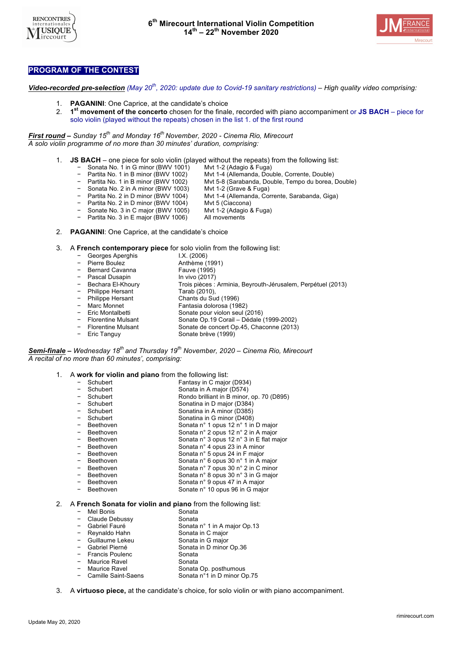



## **PROGRAM OF THE CONTEST**

*Video-recorded pre-selection (May 20th, 2020: update due to Covid-19 sanitary restrictions) – High quality video comprising:*

- **PAGANINI:** One Caprice, at the candidate's choice
- 2. **1st movement of the concerto** chosen for the finale, recorded with piano accompaniment or **JS BACH** piece for solo violin (played without the repeats) chosen in the list 1. of the first round

*First round – Sunday 15th and Monday 16th November, 2020 - Cinema Rio, Mirecourt A solo violin programme of no more than 30 minutes' duration, comprising:*

- 1. **JS BACH** one piece for solo violin (played without the repeats) from the following list:
	- − Sonata No. 1 in G minor (BWV 1001)<br>− Partita No. 1 in B minor (BWV 1002)
		- − Partita No. 1 in B minor (BWV 1002) Mvt 1-4 (Allemanda, Double, Corrente, Double)
			- Mvt 5-8 (Sarabanda, Double, Tempo du borea, Double)
	-
	- − Sonata No. 2 in A minor (BWV 1003) Mvt 1-2 (Grave & Fuga)
		- Mvt 1-4 (Allemanda, Corrente, Sarabanda, Giga)<br>Mvt 5 (Ciaccona)
	- − Partita No. 2 in D minor (BWV 1004) Mvt 5 (Ciaccona)<br>− Sonate No. 3 in C major (BWV 1005) Mvt 1-2 (Adagio & Fuga)
		- Sonate No. 3 in C major (BWV 1005)
		- Partita No. 3 in E major (BWV 1006) All movements
- 2. **PAGANINI**: One Caprice, at the candidate's choice

3. A **French contemporary piece** for solo violin from the following list:

− Georges Aperghis I.X. (2006) − Pierre Boulez Anthème (1991)<br>− Bernard Cavanna Fauve (1995) − Bernard Cavanna Fauve (1995) **Pascal Dusapin**<br>Bechara El-Khoury − Bechara El-Khoury Trois pièces : Arminia, Beyrouth-Jérusalem, Perpétuel (2013) − Philippe Hersant Tarab (2010), Chants du Sud (1996) − Marc Monnet Fantasia dolorosa (1982) − Eric Montalbetti Sonate pour violon seul (2016) − Florentine Mulsant Sonate Op.19 Corail – Dédale (1999-2002) Sonate de concert Op.45, Chaconne (2013) − Eric Tanguy Sonate brève (1999)

*Semi-finale – Wednesday 18th and Thursday 19th November, 2020 – Cinema Rio, Mirecourt A recital of no more than 60 minutes', comprising:*

#### 1. A **work for violin and piano** from the following list:

| Schubert                              | Fantasy in C major (D934)                 |
|---------------------------------------|-------------------------------------------|
| Schubert                              | Sonata in A major (D574)                  |
| Schubert                              | Rondo brilliant in B minor, op. 70 (D895) |
| Schubert                              | Sonatina in D major (D384)                |
| Schubert                              | Sonatina in A minor (D385)                |
| Schubert                              | Sonatina in G minor (D408)                |
| Beethoven                             | Sonata n° 1 opus 12 n° 1 in D major       |
| Beethoven                             | Sonata n° 2 opus 12 n° 2 in A major       |
| Beethoven                             | Sonata n° 3 opus 12 n° 3 in E flat major  |
| Beethoven                             | Sonata n° 4 opus 23 in A minor            |
| Beethoven                             | Sonata n° 5 opus 24 in F major            |
| Beethoven                             | Sonata n° 6 opus 30 n° 1 in A major       |
| Beethoven<br>-                        | Sonata n° 7 opus 30 n° 2 in C minor       |
| Beethoven<br>$\overline{\phantom{0}}$ | Sonata n° 8 opus 30 n° 3 in G major       |
| Beethoven                             | Sonata n° 9 opus 47 in A major            |
| Beethoven                             | Sonate n° 10 opus 96 in G major           |
|                                       |                                           |

#### 2. A **French Sonata for violin and piano** from the following list:

- − Mel Bonis Sonata
- − Claude Debussy Sonata
- − Gabriel Fauré Tennes Sonata n° 1 in A major Op.13<br>The Reynaldo Hahn Sonata in C major
- **Feynaldo Hahn Sonata in C major<br>Guillaume Lekeu Sonata in G major**
- 
- − Guillaume Lekeu Sonata in G major Sonata in D minor Op.36<br>Sonata
- Francis Poulenc
- Maurice Ravel 50nata<br>
Maurice Ravel Sonata
- Maurice Ravel Sonata Op. posthumous<br>Camille Saint-Saens Sonata n°1 in D minor O
- Sonata n°1 in D minor Op.75
- 3. A **virtuoso piece,** at the candidate's choice, for solo violin or with piano accompaniment.